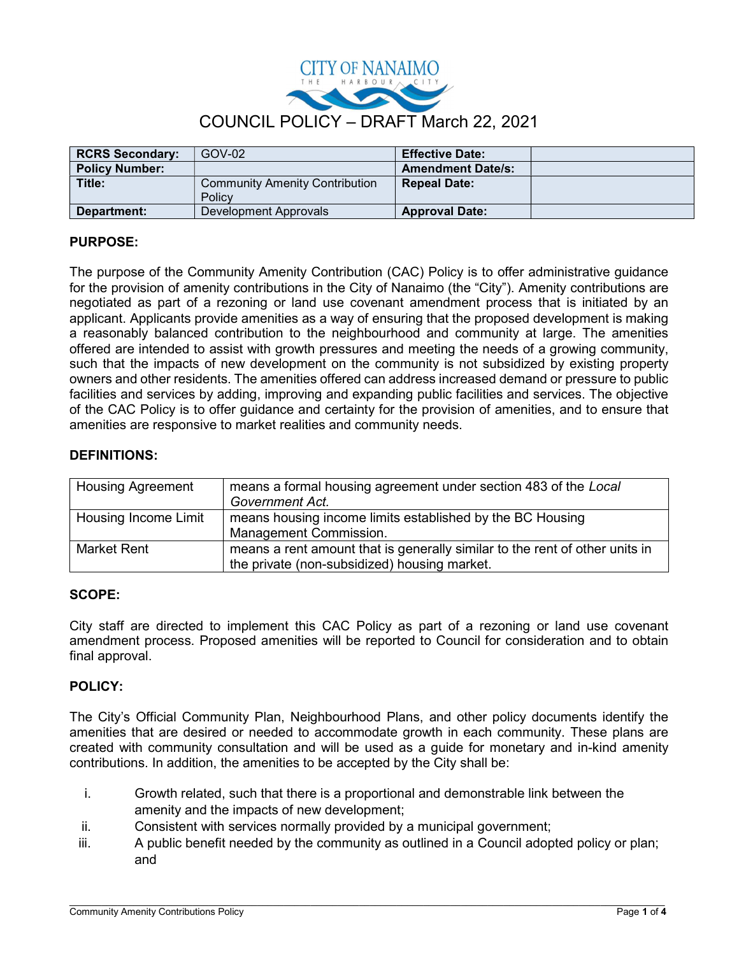

| <b>RCRS Secondary:</b> | GOV-02                                          | <b>Effective Date:</b>   |  |
|------------------------|-------------------------------------------------|--------------------------|--|
| <b>Policy Number:</b>  |                                                 | <b>Amendment Date/s:</b> |  |
| Title:                 | <b>Community Amenity Contribution</b><br>Policy | <b>Repeal Date:</b>      |  |
| Department:            | Development Approvals                           | <b>Approval Date:</b>    |  |

# PURPOSE:

The purpose of the Community Amenity Contribution (CAC) Policy is to offer administrative guidance for the provision of amenity contributions in the City of Nanaimo (the "City"). Amenity contributions are negotiated as part of a rezoning or land use covenant amendment process that is initiated by an applicant. Applicants provide amenities as a way of ensuring that the proposed development is making a reasonably balanced contribution to the neighbourhood and community at large. The amenities offered are intended to assist with growth pressures and meeting the needs of a growing community, such that the impacts of new development on the community is not subsidized by existing property owners and other residents. The amenities offered can address increased demand or pressure to public facilities and services by adding, improving and expanding public facilities and services. The objective of the CAC Policy is to offer guidance and certainty for the provision of amenities, and to ensure that amenities are responsive to market realities and community needs.

## DEFINITIONS:

| <b>Housing Agreement</b> | means a formal housing agreement under section 483 of the Local<br>Government Act.                                          |  |
|--------------------------|-----------------------------------------------------------------------------------------------------------------------------|--|
| Housing Income Limit     | means housing income limits established by the BC Housing<br>Management Commission.                                         |  |
| Market Rent              | means a rent amount that is generally similar to the rent of other units in<br>the private (non-subsidized) housing market. |  |

#### SCOPE:

City staff are directed to implement this CAC Policy as part of a rezoning or land use covenant amendment process. Proposed amenities will be reported to Council for consideration and to obtain final approval.

## POLICY:

The City's Official Community Plan, Neighbourhood Plans, and other policy documents identify the amenities that are desired or needed to accommodate growth in each community. These plans are created with community consultation and will be used as a guide for monetary and in-kind amenity contributions. In addition, the amenities to be accepted by the City shall be:

- i. Growth related, such that there is a proportional and demonstrable link between the amenity and the impacts of new development;
- ii. Consistent with services normally provided by a municipal government;
- iii. A public benefit needed by the community as outlined in a Council adopted policy or plan; and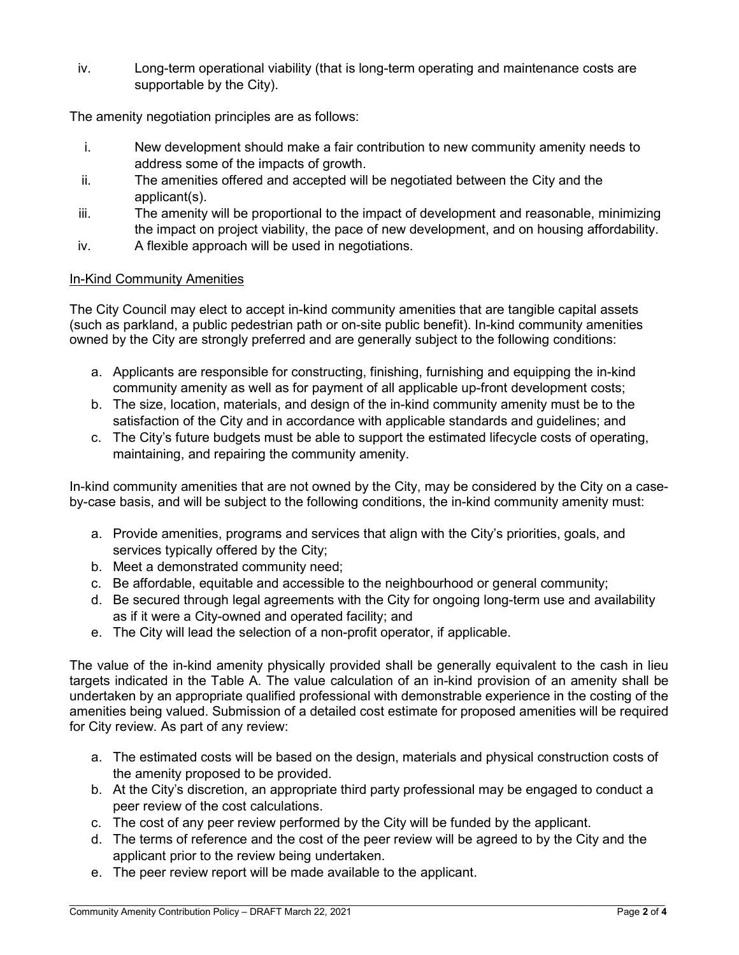iv. Long-term operational viability (that is long-term operating and maintenance costs are supportable by the City).

The amenity negotiation principles are as follows:

- i. New development should make a fair contribution to new community amenity needs to address some of the impacts of growth.
- ii. The amenities offered and accepted will be negotiated between the City and the applicant(s).
- iii. The amenity will be proportional to the impact of development and reasonable, minimizing the impact on project viability, the pace of new development, and on housing affordability.
- iv. A flexible approach will be used in negotiations.

## In-Kind Community Amenities

The City Council may elect to accept in-kind community amenities that are tangible capital assets (such as parkland, a public pedestrian path or on-site public benefit). In-kind community amenities owned by the City are strongly preferred and are generally subject to the following conditions:

- a. Applicants are responsible for constructing, finishing, furnishing and equipping the in-kind community amenity as well as for payment of all applicable up-front development costs;
- b. The size, location, materials, and design of the in-kind community amenity must be to the satisfaction of the City and in accordance with applicable standards and guidelines; and
- c. The City's future budgets must be able to support the estimated lifecycle costs of operating, maintaining, and repairing the community amenity.

In-kind community amenities that are not owned by the City, may be considered by the City on a caseby-case basis, and will be subject to the following conditions, the in-kind community amenity must:

- a. Provide amenities, programs and services that align with the City's priorities, goals, and services typically offered by the City;
- b. Meet a demonstrated community need;
- c. Be affordable, equitable and accessible to the neighbourhood or general community;
- d. Be secured through legal agreements with the City for ongoing long-term use and availability as if it were a City-owned and operated facility; and
- e. The City will lead the selection of a non-profit operator, if applicable.

The value of the in-kind amenity physically provided shall be generally equivalent to the cash in lieu targets indicated in the Table A. The value calculation of an in-kind provision of an amenity shall be undertaken by an appropriate qualified professional with demonstrable experience in the costing of the amenities being valued. Submission of a detailed cost estimate for proposed amenities will be required for City review. As part of any review:

- a. The estimated costs will be based on the design, materials and physical construction costs of the amenity proposed to be provided.
- b. At the City's discretion, an appropriate third party professional may be engaged to conduct a peer review of the cost calculations.
- c. The cost of any peer review performed by the City will be funded by the applicant.
- d. The terms of reference and the cost of the peer review will be agreed to by the City and the applicant prior to the review being undertaken.
- e. The peer review report will be made available to the applicant.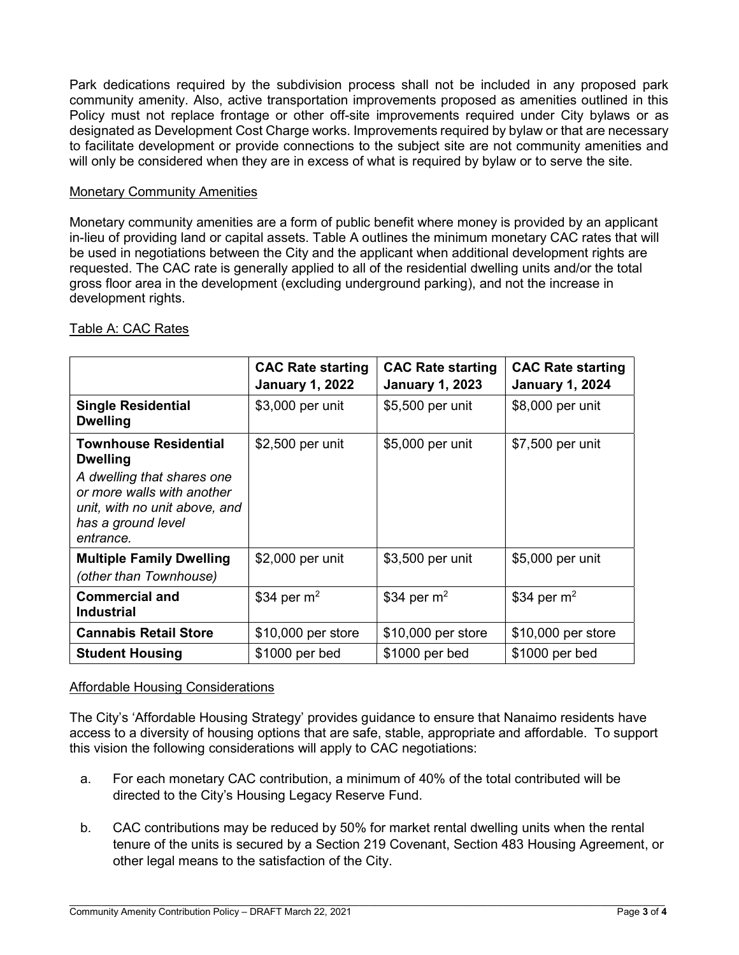Park dedications required by the subdivision process shall not be included in any proposed park community amenity. Also, active transportation improvements proposed as amenities outlined in this Policy must not replace frontage or other off-site improvements required under City bylaws or as designated as Development Cost Charge works. Improvements required by bylaw or that are necessary to facilitate development or provide connections to the subject site are not community amenities and will only be considered when they are in excess of what is required by bylaw or to serve the site.

#### Monetary Community Amenities

Monetary community amenities are a form of public benefit where money is provided by an applicant in-lieu of providing land or capital assets. Table A outlines the minimum monetary CAC rates that will be used in negotiations between the City and the applicant when additional development rights are requested. The CAC rate is generally applied to all of the residential dwelling units and/or the total gross floor area in the development (excluding underground parking), and not the increase in development rights.

|                                                                                                                                                                                 | <b>CAC Rate starting</b><br><b>January 1, 2022</b> | <b>CAC Rate starting</b><br><b>January 1, 2023</b> | <b>CAC Rate starting</b><br><b>January 1, 2024</b> |
|---------------------------------------------------------------------------------------------------------------------------------------------------------------------------------|----------------------------------------------------|----------------------------------------------------|----------------------------------------------------|
| <b>Single Residential</b><br><b>Dwelling</b>                                                                                                                                    | \$3,000 per unit                                   | \$5,500 per unit                                   | \$8,000 per unit                                   |
| <b>Townhouse Residential</b><br><b>Dwelling</b><br>A dwelling that shares one<br>or more walls with another<br>unit, with no unit above, and<br>has a ground level<br>entrance. | \$2,500 per unit                                   | \$5,000 per unit                                   | \$7,500 per unit                                   |
| <b>Multiple Family Dwelling</b><br>(other than Townhouse)                                                                                                                       | \$2,000 per unit                                   | \$3,500 per unit                                   | \$5,000 per unit                                   |
| <b>Commercial and</b><br><b>Industrial</b>                                                                                                                                      | $$34$ per m <sup>2</sup>                           | $$34$ per m <sup>2</sup>                           | $$34$ per m <sup>2</sup>                           |
| <b>Cannabis Retail Store</b>                                                                                                                                                    | \$10,000 per store                                 | \$10,000 per store                                 | \$10,000 per store                                 |
| <b>Student Housing</b>                                                                                                                                                          | \$1000 per bed                                     | \$1000 per bed                                     | \$1000 per bed                                     |

# Table A: CAC Rates

## Affordable Housing Considerations

The City's 'Affordable Housing Strategy' provides guidance to ensure that Nanaimo residents have access to a diversity of housing options that are safe, stable, appropriate and affordable. To support this vision the following considerations will apply to CAC negotiations:

- a. For each monetary CAC contribution, a minimum of 40% of the total contributed will be directed to the City's Housing Legacy Reserve Fund.
- b. CAC contributions may be reduced by 50% for market rental dwelling units when the rental tenure of the units is secured by a Section 219 Covenant, Section 483 Housing Agreement, or other legal means to the satisfaction of the City.